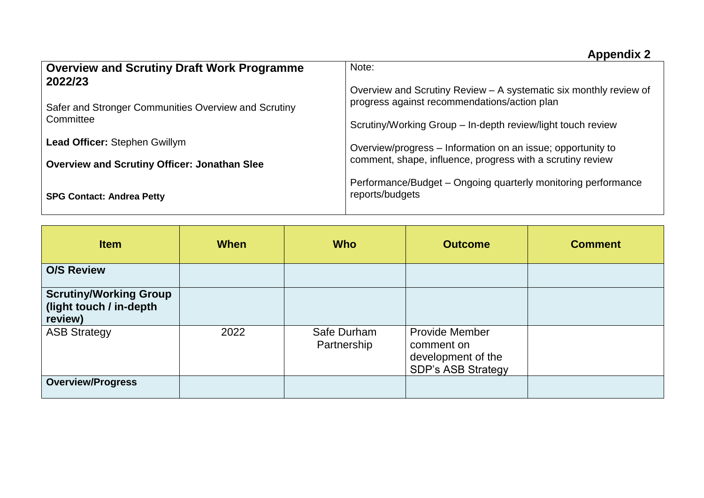| <b>Overview and Scrutiny Draft Work Programme</b>               | Note:                                                                                                                     |  |  |  |
|-----------------------------------------------------------------|---------------------------------------------------------------------------------------------------------------------------|--|--|--|
| 2022/23<br>Safer and Stronger Communities Overview and Scrutiny | Overview and Scrutiny Review - A systematic six monthly review of<br>progress against recommendations/action plan         |  |  |  |
| Committee                                                       | Scrutiny/Working Group - In-depth review/light touch review                                                               |  |  |  |
| <b>Lead Officer: Stephen Gwillym</b>                            | Overview/progress - Information on an issue; opportunity to<br>comment, shape, influence, progress with a scrutiny review |  |  |  |
| <b>Overview and Scrutiny Officer: Jonathan Slee</b>             |                                                                                                                           |  |  |  |
| <b>SPG Contact: Andrea Petty</b>                                | Performance/Budget – Ongoing quarterly monitoring performance<br>reports/budgets                                          |  |  |  |

| <b>Item</b>                                                         | <b>When</b> | <b>Who</b>                 | <b>Outcome</b>                                                                         | <b>Comment</b> |
|---------------------------------------------------------------------|-------------|----------------------------|----------------------------------------------------------------------------------------|----------------|
| <b>O/S Review</b>                                                   |             |                            |                                                                                        |                |
| <b>Scrutiny/Working Group</b><br>(light touch / in-depth<br>review) |             |                            |                                                                                        |                |
| <b>ASB Strategy</b>                                                 | 2022        | Safe Durham<br>Partnership | <b>Provide Member</b><br>comment on<br>development of the<br><b>SDP's ASB Strategy</b> |                |
| <b>Overview/Progress</b>                                            |             |                            |                                                                                        |                |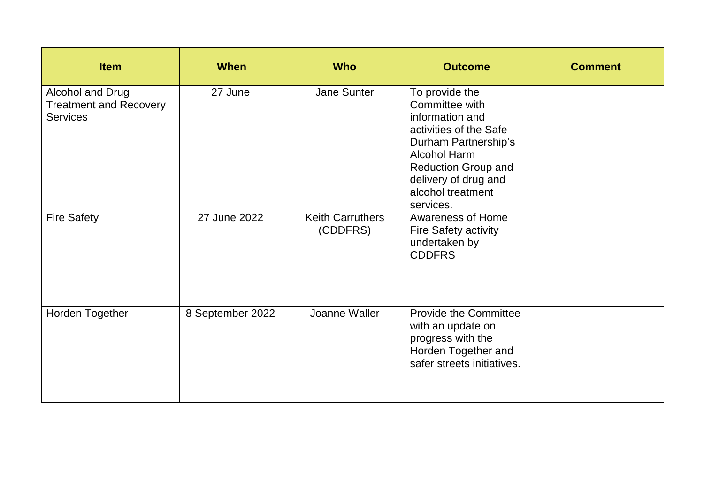| <b>Item</b>                                                          | <b>When</b>      | <b>Who</b>                          | <b>Outcome</b>                                                                                                                                                                                                       | <b>Comment</b> |
|----------------------------------------------------------------------|------------------|-------------------------------------|----------------------------------------------------------------------------------------------------------------------------------------------------------------------------------------------------------------------|----------------|
| Alcohol and Drug<br><b>Treatment and Recovery</b><br><b>Services</b> | 27 June          | <b>Jane Sunter</b>                  | To provide the<br>Committee with<br>information and<br>activities of the Safe<br>Durham Partnership's<br><b>Alcohol Harm</b><br><b>Reduction Group and</b><br>delivery of drug and<br>alcohol treatment<br>services. |                |
| <b>Fire Safety</b>                                                   | 27 June 2022     | <b>Keith Carruthers</b><br>(CDDFRS) | <b>Awareness of Home</b><br><b>Fire Safety activity</b><br>undertaken by<br><b>CDDFRS</b>                                                                                                                            |                |
| Horden Together                                                      | 8 September 2022 | Joanne Waller                       | <b>Provide the Committee</b><br>with an update on<br>progress with the<br>Horden Together and<br>safer streets initiatives.                                                                                          |                |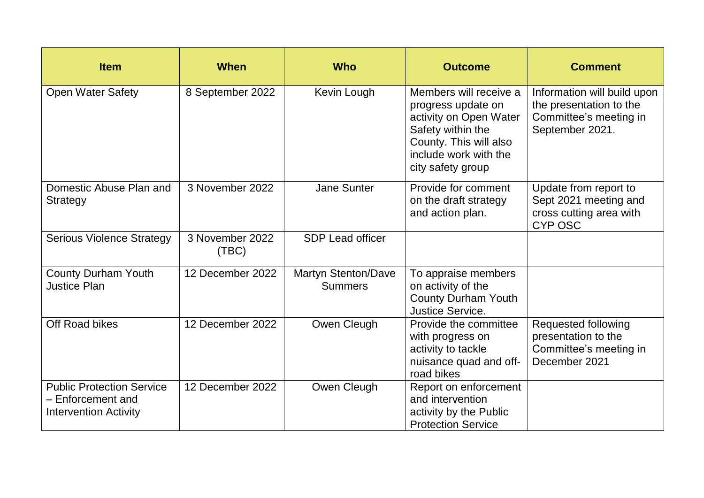| <b>Item</b>                                                                           | <b>When</b>              | <b>Who</b>                                   | <b>Outcome</b>                                                                                                                                                      | <b>Comment</b>                                                                                      |
|---------------------------------------------------------------------------------------|--------------------------|----------------------------------------------|---------------------------------------------------------------------------------------------------------------------------------------------------------------------|-----------------------------------------------------------------------------------------------------|
| <b>Open Water Safety</b>                                                              | 8 September 2022         | Kevin Lough                                  | Members will receive a<br>progress update on<br>activity on Open Water<br>Safety within the<br>County. This will also<br>include work with the<br>city safety group | Information will build upon<br>the presentation to the<br>Committee's meeting in<br>September 2021. |
| Domestic Abuse Plan and<br><b>Strategy</b>                                            | 3 November 2022          | <b>Jane Sunter</b>                           | Provide for comment<br>on the draft strategy<br>and action plan.                                                                                                    | Update from report to<br>Sept 2021 meeting and<br>cross cutting area with<br><b>CYP OSC</b>         |
| <b>Serious Violence Strategy</b>                                                      | 3 November 2022<br>(TBC) | <b>SDP Lead officer</b>                      |                                                                                                                                                                     |                                                                                                     |
| <b>County Durham Youth</b><br><b>Justice Plan</b>                                     | 12 December 2022         | <b>Martyn Stenton/Dave</b><br><b>Summers</b> | To appraise members<br>on activity of the<br><b>County Durham Youth</b><br><b>Justice Service.</b>                                                                  |                                                                                                     |
| Off Road bikes                                                                        | 12 December 2022         | Owen Cleugh                                  | Provide the committee<br>with progress on<br>activity to tackle<br>nuisance quad and off-<br>road bikes                                                             | Requested following<br>presentation to the<br>Committee's meeting in<br>December 2021               |
| <b>Public Protection Service</b><br>- Enforcement and<br><b>Intervention Activity</b> | 12 December 2022         | Owen Cleugh                                  | Report on enforcement<br>and intervention<br>activity by the Public<br><b>Protection Service</b>                                                                    |                                                                                                     |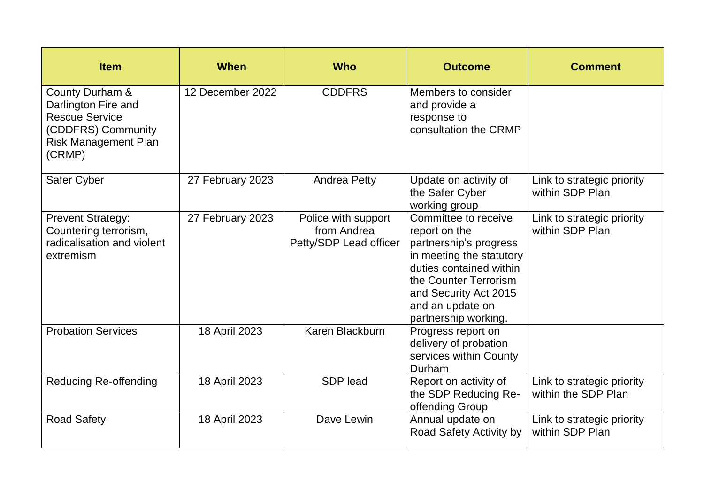| <b>Item</b>                                                                                                                    | <b>When</b>      | <b>Who</b>                                                   | <b>Outcome</b>                                                                                                                                                                                                       | <b>Comment</b>                                    |
|--------------------------------------------------------------------------------------------------------------------------------|------------------|--------------------------------------------------------------|----------------------------------------------------------------------------------------------------------------------------------------------------------------------------------------------------------------------|---------------------------------------------------|
| County Durham &<br>Darlington Fire and<br><b>Rescue Service</b><br>(CDDFRS) Community<br><b>Risk Management Plan</b><br>(CRMP) | 12 December 2022 | <b>CDDFRS</b>                                                | Members to consider<br>and provide a<br>response to<br>consultation the CRMP                                                                                                                                         |                                                   |
| Safer Cyber                                                                                                                    | 27 February 2023 | <b>Andrea Petty</b>                                          | Update on activity of<br>the Safer Cyber<br>working group                                                                                                                                                            | Link to strategic priority<br>within SDP Plan     |
| <b>Prevent Strategy:</b><br>Countering terrorism,<br>radicalisation and violent<br>extremism                                   | 27 February 2023 | Police with support<br>from Andrea<br>Petty/SDP Lead officer | Committee to receive<br>report on the<br>partnership's progress<br>in meeting the statutory<br>duties contained within<br>the Counter Terrorism<br>and Security Act 2015<br>and an update on<br>partnership working. | Link to strategic priority<br>within SDP Plan     |
| <b>Probation Services</b>                                                                                                      | 18 April 2023    | Karen Blackburn                                              | Progress report on<br>delivery of probation<br>services within County<br>Durham                                                                                                                                      |                                                   |
| <b>Reducing Re-offending</b>                                                                                                   | 18 April 2023    | SDP lead                                                     | Report on activity of<br>the SDP Reducing Re-<br>offending Group                                                                                                                                                     | Link to strategic priority<br>within the SDP Plan |
| <b>Road Safety</b>                                                                                                             | 18 April 2023    | Dave Lewin                                                   | Annual update on<br>Road Safety Activity by                                                                                                                                                                          | Link to strategic priority<br>within SDP Plan     |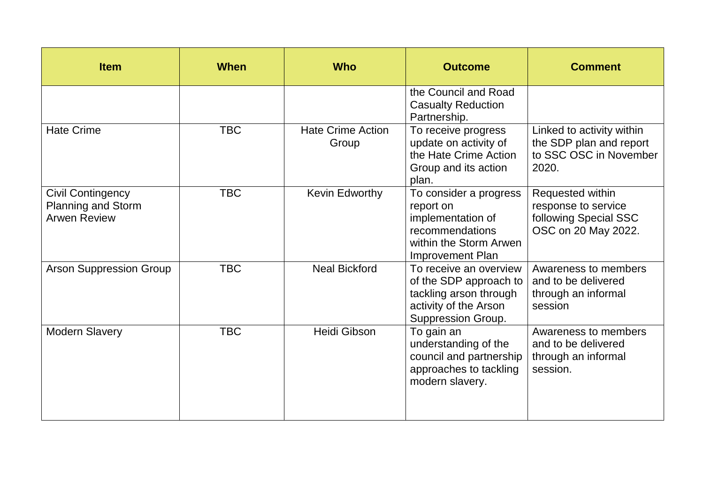| <b>Item</b>                                                                  | <b>When</b> | <b>Who</b>                        | <b>Outcome</b>                                                                                                            | <b>Comment</b>                                                                          |
|------------------------------------------------------------------------------|-------------|-----------------------------------|---------------------------------------------------------------------------------------------------------------------------|-----------------------------------------------------------------------------------------|
|                                                                              |             |                                   | the Council and Road<br><b>Casualty Reduction</b><br>Partnership.                                                         |                                                                                         |
| <b>Hate Crime</b>                                                            | <b>TBC</b>  | <b>Hate Crime Action</b><br>Group | To receive progress<br>update on activity of<br>the Hate Crime Action<br>Group and its action<br>plan.                    | Linked to activity within<br>the SDP plan and report<br>to SSC OSC in November<br>2020. |
| <b>Civil Contingency</b><br><b>Planning and Storm</b><br><b>Arwen Review</b> | <b>TBC</b>  | Kevin Edworthy                    | To consider a progress<br>report on<br>implementation of<br>recommendations<br>within the Storm Arwen<br>Improvement Plan | Requested within<br>response to service<br>following Special SSC<br>OSC on 20 May 2022. |
| <b>Arson Suppression Group</b>                                               | <b>TBC</b>  | <b>Neal Bickford</b>              | To receive an overview<br>of the SDP approach to<br>tackling arson through<br>activity of the Arson<br>Suppression Group. | Awareness to members<br>and to be delivered<br>through an informal<br>session           |
| <b>Modern Slavery</b>                                                        | <b>TBC</b>  | Heidi Gibson                      | To gain an<br>understanding of the<br>council and partnership<br>approaches to tackling<br>modern slavery.                | Awareness to members<br>and to be delivered<br>through an informal<br>session.          |